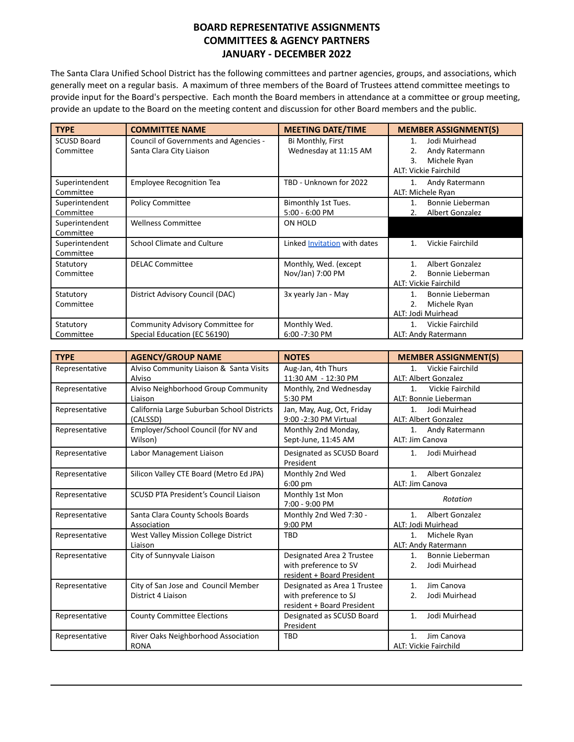## **BOARD REPRESENTATIVE ASSIGNMENTS COMMITTEES & AGENCY PARTNERS JANUARY - DECEMBER 2022**

The Santa Clara Unified School District has the following committees and partner agencies, groups, and associations, which generally meet on a regular basis. A maximum of three members of the Board of Trustees attend committee meetings to provide input for the Board's perspective. Each month the Board members in attendance at a committee or group meeting, provide an update to the Board on the meeting content and discussion for other Board members and the public.

| <b>TYPE</b>                     | <b>COMMITTEE NAME</b>                                             | <b>MEETING DATE/TIME</b>                   | <b>MEMBER ASSIGNMENT(S)</b>                                                                       |
|---------------------------------|-------------------------------------------------------------------|--------------------------------------------|---------------------------------------------------------------------------------------------------|
| <b>SCUSD Board</b><br>Committee | Council of Governments and Agencies -<br>Santa Clara City Liaison | Bi Monthly, First<br>Wednesday at 11:15 AM | Jodi Muirhead<br>1.<br>Andy Ratermann<br>2.<br>3.<br>Michele Ryan<br><b>ALT: Vickie Fairchild</b> |
| Superintendent<br>Committee     | <b>Employee Recognition Tea</b>                                   | TBD - Unknown for 2022                     | Andy Ratermann<br>1.<br>ALT: Michele Ryan                                                         |
| Superintendent<br>Committee     | <b>Policy Committee</b>                                           | Bimonthly 1st Tues.<br>5:00 - 6:00 PM      | Bonnie Lieberman<br>1.<br>Albert Gonzalez<br>2.                                                   |
| Superintendent<br>Committee     | <b>Wellness Committee</b>                                         | ON HOLD                                    |                                                                                                   |
| Superintendent<br>Committee     | <b>School Climate and Culture</b>                                 | Linked Invitation with dates               | Vickie Fairchild<br>1.                                                                            |
| Statutory<br>Committee          | <b>DELAC Committee</b>                                            | Monthly, Wed. (except<br>Nov/Jan) 7:00 PM  | Albert Gonzalez<br>1.<br>Bonnie Lieberman<br>2.<br>ALT: Vickie Fairchild                          |
| Statutory<br>Committee          | District Advisory Council (DAC)                                   | 3x yearly Jan - May                        | Bonnie Lieberman<br>1.<br>2.<br>Michele Ryan<br>ALT: Jodi Muirhead                                |
| Statutory<br>Committee          | Community Advisory Committee for<br>Special Education (EC 56190)  | Monthly Wed.<br>6:00 - 7:30 PM             | Vickie Fairchild<br>1.<br>ALT: Andy Ratermann                                                     |

| <b>TYPE</b>    | <b>AGENCY/GROUP NAME</b>                                  | <b>NOTES</b>                                                                        | <b>MEMBER ASSIGNMENT(S)</b>                                |
|----------------|-----------------------------------------------------------|-------------------------------------------------------------------------------------|------------------------------------------------------------|
| Representative | Alviso Community Liaison & Santa Visits<br>Alviso         | Aug-Jan, 4th Thurs<br>11:30 AM - 12:30 PM                                           | Vickie Fairchild<br>1 <sup>1</sup><br>ALT: Albert Gonzalez |
| Representative | Alviso Neighborhood Group Community<br>Liaison            | Monthly, 2nd Wednesday<br>5:30 PM                                                   | Vickie Fairchild<br>1.<br>ALT: Bonnie Lieberman            |
| Representative | California Large Suburban School Districts<br>(CALSSD)    | Jan, May, Aug, Oct, Friday<br>9:00 - 2:30 PM Virtual                                | Jodi Muirhead<br>1.<br><b>ALT: Albert Gonzalez</b>         |
| Representative | Employer/School Council (for NV and<br>Wilson)            | Monthly 2nd Monday,<br>Sept-June, 11:45 AM                                          | 1.<br>Andy Ratermann<br>ALT: Jim Canova                    |
| Representative | Labor Management Liaison                                  | Designated as SCUSD Board<br>President                                              | Jodi Muirhead<br>1.                                        |
| Representative | Silicon Valley CTE Board (Metro Ed JPA)                   | Monthly 2nd Wed<br>$6:00$ pm                                                        | Albert Gonzalez<br>1.<br>ALT: Jim Canova                   |
| Representative | <b>SCUSD PTA President's Council Liaison</b>              | Monthly 1st Mon<br>7:00 - 9:00 PM                                                   | Rotation                                                   |
| Representative | Santa Clara County Schools Boards<br>Association          | Monthly 2nd Wed 7:30 -<br>9:00 PM                                                   | Albert Gonzalez<br>1.<br>ALT: Jodi Muirhead                |
| Representative | West Valley Mission College District<br>Liaison           | <b>TBD</b>                                                                          | 1.<br>Michele Ryan<br>ALT: Andy Ratermann                  |
| Representative | City of Sunnyvale Liaison                                 | Designated Area 2 Trustee<br>with preference to SV<br>resident + Board President    | Bonnie Lieberman<br>1.<br>Jodi Muirhead<br>2.              |
| Representative | City of San Jose and Council Member<br>District 4 Liaison | Designated as Area 1 Trustee<br>with preference to SJ<br>resident + Board President | Jim Canova<br>1.<br>Jodi Muirhead<br>2.                    |
| Representative | <b>County Committee Elections</b>                         | Designated as SCUSD Board<br>President                                              | Jodi Muirhead<br>1.                                        |
| Representative | River Oaks Neighborhood Association<br><b>RONA</b>        | <b>TBD</b>                                                                          | Jim Canova<br>1 <sub>1</sub><br>ALT: Vickie Fairchild      |